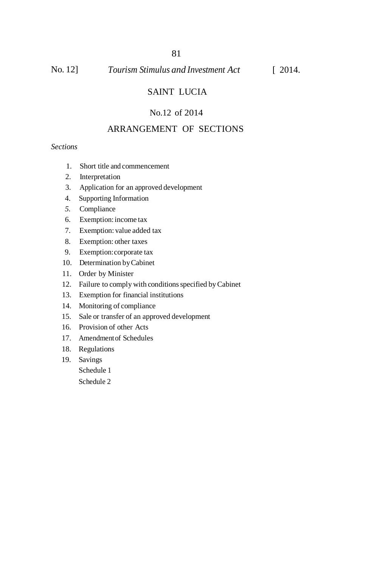#### No. 12] *Tourism Stimulus and Investment Act* [ 2014.

## SAINT LUCIA

## No.12 of 2014

## ARRANGEMENT OF SECTIONS

## *Sections*

- 1. Short title and commencement
- 2. Interpretation
- 3. Application for an approved development
- 4. Supporting Information
- *5.* Compliance
- 6. Exemption:income tax
- 7. Exemption: value added tax
- 8. Exemption: other taxes
- 9. Exemption:corporate tax
- 10. Determination by Cabinet
- 11. Order by Minister
- 12. Failure to comply with conditions specified by Cabinet
- 13. Exemption for financial institutions
- 14. Monitoring of compliance
- 15. Sale or transfer of an approved development
- 16. Provision of other Acts
- 17. Amendmentof Schedules
- 18. Regulations
- 19. Savings

Schedule 1

Schedule 2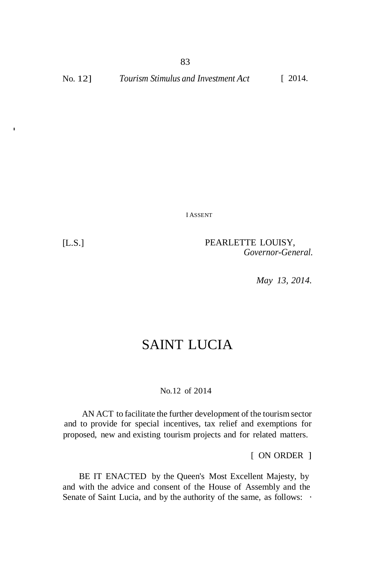I ASSENT

·

[L.S.] PEARLETTE LOUISY, *Governor-General.*

*May 13, 2014.*

# SAINT LUCIA

#### No.12 of 2014

AN ACT to facilitate the further development of the tourism sector and to provide for special incentives, tax relief and exemptions for proposed, new and existing tourism projects and for related matters.

[ ON ORDER ]

BE IT ENACTED by the Queen's Most Excellent Majesty, by and with the advice and consent of the House of Assembly and the Senate of Saint Lucia, and by the authority of the same, as follows:  $\cdot$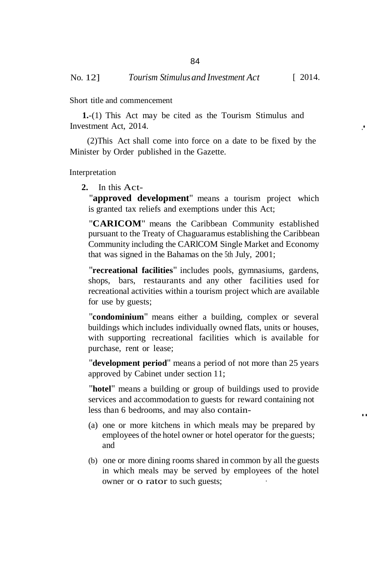Short title and commencement

**1.**-(1) This Act may be cited as the Tourism Stimulus and Investment Act, 2014.

(2)This Act shall come into force on a date to be fixed by the Minister by Order published in the Gazette.

Interpretation

## **2.** In this Act-

"**approved development**" means a tourism project which is granted tax reliefs and exemptions under this Act;

"**CARICOM**" means the Caribbean Community established pursuant to the Treaty of Chaguaramus establishing the Caribbean Community including the CARlCOM Single Market and Economy that was signed in the Bahamas on the 5th July, 2001;

"**recreational facilities**" includes pools, gymnasiums, gardens, shops, bars, restaurants and any other facilities used for recreational activities within a tourism project which are available for use by guests;

"**condominium**" means either a building, complex or several buildings which includes individually owned flats, units or houses, with supporting recreational facilities which is available for purchase, rent or lease;

"**development period**" means a period of not more than 25 years approved by Cabinet under section 11;

"**hotel**" means a building or group of buildings used to provide services and accommodation to guests for reward containing not less than 6 bedrooms, and may also contain- ..

- (a) one or more kitchens in which meals may be prepared by employees of the hotel owner or hotel operator for the guests; and
- (b) one or more dining rooms shared in common by all the guests in which meals may be served by employees of the hotel owner or o rator to such guests;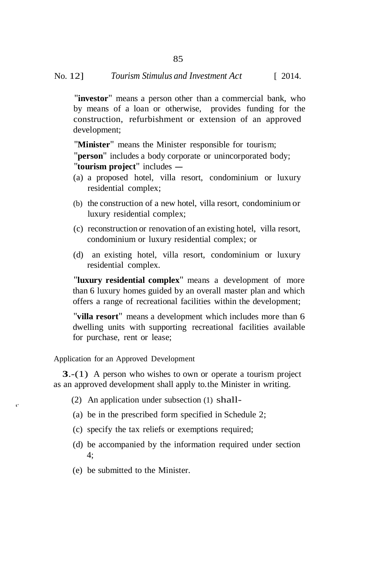85

"**investor**" means a person other than a commercial bank, who by means of a loan or otherwise, provides funding for the construction, refurbishment or extension of an approved development;

"**Minister**" means the Minister responsible for tourism;

"**person**" includes a body corporate or unincorporated body; "**tourism project**" includes -

- (a) a proposed hotel, villa resort, condominium or luxury residential complex;
- (b) the construction of a new hotel, villa resort, condominium or luxury residential complex;
- (c) reconstruction or renovation of an existing hotel, villa resort, condominium or luxury residential complex; or
- (d) an existing hotel, villa resort, condominium or luxury residential complex.

"**luxury residential complex**" means a development of more than 6 luxury homes guided by an overall master plan and which offers a range of recreational facilities within the development;

"**villa resort**" means a development which includes more than 6 dwelling units with supporting recreational facilities available for purchase, rent or lease;

Application for an Approved Development

**3**.-(1) A person who wishes to own or operate a tourism project as an approved development shall apply to. the Minister in writing.

- (2) An application under subsection (1) shall- t'
	- (a) be in the prescribed form specified in Schedule 2;
	- (c) specify the tax reliefs or exemptions required;
	- (d) be accompanied by the information required under section 4;
	- (e) be submitted to the Minister.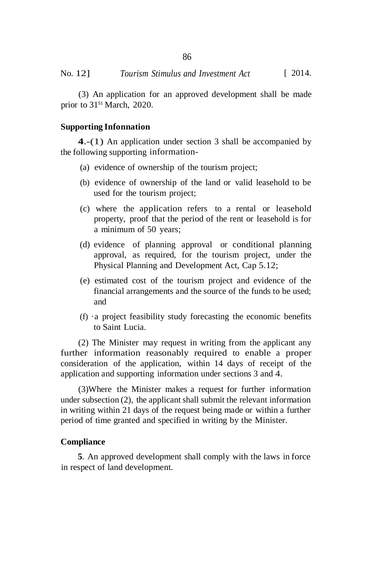(3) An application for an approved development shall be made prior to 31<sup>51</sup> March, 2020.

#### **Supporting Infonnation**

**4**.-(1) An application under section 3 shall be accompanied by the following supporting information-

- (a) evidence of ownership of the tourism project;
- (b) evidence of ownership of the land or valid leasehold to be used for the tourism project;
- (c) where the application refers to a rental or leasehold property, proof that the period of the rent or leasehold is for a minimum of 50 years;
- (d) evidence of planning approval or conditional planning approval, as required, for the tourism project, under the Physical Planning and Development Act, Cap 5.12;
- (e) estimated cost of the tourism project and evidence of the financial arrangements and the source of the funds to be used; and
- $(f)$  · a project feasibility study forecasting the economic benefits to Saint Lucia.

(2) The Minister may request in writing from the applicant any further information reasonably required to enable a proper consideration of the application, within 14 days of receipt of the application and supporting information under sections 3 and 4.

(3)Where the Minister makes a request for further information under subsection (2), the applicant shall submit the relevant information in writing within 21 days of the request being made or within a further period of time granted and specified in writing by the Minister.

## **Compliance**

**5**. An approved development shall comply with the laws in force in respect of land development.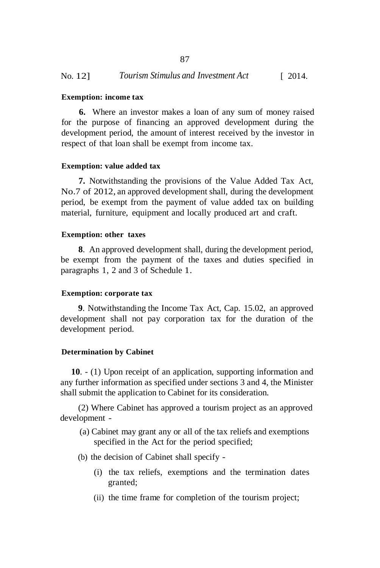#### **Exemption: income tax**

**6.** Where an investor makes a loan of any sum of money raised for the purpose of financing an approved development during the development period, the amount of interest received by the investor in respect of that loan shall be exempt from income tax.

#### **Exemption: value added tax**

**7.** Notwithstanding the provisions of the Value Added Tax Act, No.7 of 2012, an approved development shall, during the development period, be exempt from the payment of value added tax on building material, furniture, equipment and locally produced art and craft.

#### **Exemption: other taxes**

**8**. An approved development shall, during the development period, be exempt from the payment of the taxes and duties specified in paragraphs 1, 2 and 3 of Schedule 1.

#### **Exemption: corporate tax**

**9**. Notwithstanding the Income Tax Act, Cap. 15.02, an approved development shall not pay corporation tax for the duration of the development period.

#### **Determination by Cabinet**

**10**. - (1) Upon receipt of an application, supporting information and any further information as specified under sections 3 and 4, the Minister shall submit the application to Cabinet for its consideration.

(2) Where Cabinet has approved a tourism project as an approved development -

- (a) Cabinet may grant any or all of the tax reliefs and exemptions specified in the Act for the period specified;
- (b) the decision of Cabinet shall specify
	- (i) the tax reliefs, exemptions and the termination dates granted;
	- (ii) the time frame for completion of the tourism project;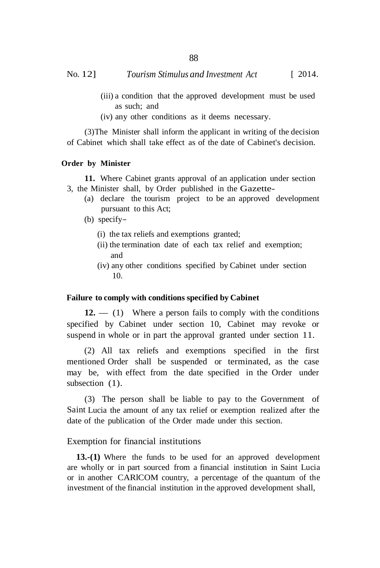No. 12] *Tourism Stimulus and Investment Act* [ 2014.

- (iii) a condition that the approved development must be used as such; and
- (iv) any other conditions as it deems necessary.

(3)The Minister shall inform the applicant in writing of the decision of Cabinet which shall take effect as of the date of Cabinet's decision.

#### **Order by Minister**

**11.** Where Cabinet grants approval of an application under section 3, the Minister shall, by Order published in the Gazette-

- (a) declare the tourism project to be an approved development pursuant to this Act;
- (b) specify–
	- (i) the tax reliefs and exemptions granted;
	- (ii) the termination date of each tax relief and exemption; and
	- (iv) any other conditions specified by Cabinet under section 10.

#### **Failure to comply with conditions specified by Cabinet**

**12.** — (1) Where a person fails to comply with the conditions specified by Cabinet under section 10, Cabinet may revoke or suspend in whole or in part the approval granted under section 11.

(2) All tax reliefs and exemptions specified in the first mentioned Order shall be suspended or terminated, as the case may be, with effect from the date specified in the Order under subsection  $(1)$ .

(3) The person shall be liable to pay to the Government of Saint Lucia the amount of any tax relief or exemption realized after the date of the publication of the Order made under this section.

#### Exemption for financial institutions

**13.-(1)** Where the funds to be used for an approved development are wholly or in part sourced from a financial institution in Saint Lucia or in another CARlCOM country, a percentage of the quantum of the investment of the financial institution in the approved development shall,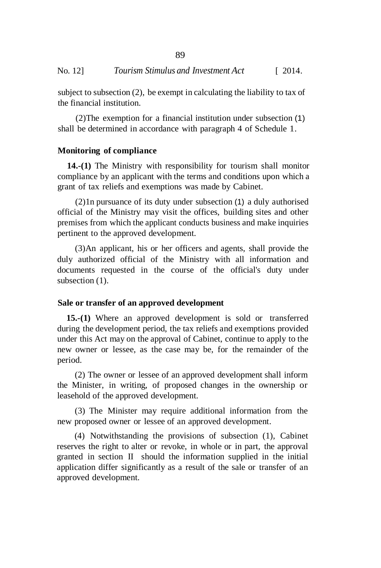subject to subsection (2), be exempt in calculating the liability to tax of the financial institution.

(2)The exemption for a financial institution under subsection (1) shall be determined in accordance with paragraph 4 of Schedule 1.

### **Monitoring of compliance**

**14.-(1)** The Ministry with responsibility for tourism shall monitor compliance by an applicant with the terms and conditions upon which a grant of tax reliefs and exemptions was made by Cabinet.

(2)1n pursuance of its duty under subsection (1) a duly authorised official of the Ministry may visit the offices, building sites and other premises from which the applicant conducts business and make inquiries pertinent to the approved development.

(3)An applicant, his or her officers and agents, shall provide the duly authorized official of the Ministry with all information and documents requested in the course of the official's duty under subsection  $(1)$ .

### **Sale or transfer of an approved development**

**15.-(1)** Where an approved development is sold or transferred during the development period, the tax reliefs and exemptions provided under this Act may on the approval of Cabinet, continue to apply to the new owner or lessee, as the case may be, for the remainder of the period.

(2) The owner or lessee of an approved development shall inform the Minister, in writing, of proposed changes in the ownership or leasehold of the approved development.

(3) The Minister may require additional information from the new proposed owner or lessee of an approved development.

(4) Notwithstanding the provisions of subsection (1), Cabinet reserves the right to alter or revoke, in whole or in part, the approval granted in section II should the information supplied in the initial application differ significantly as a result of the sale or transfer of an approved development.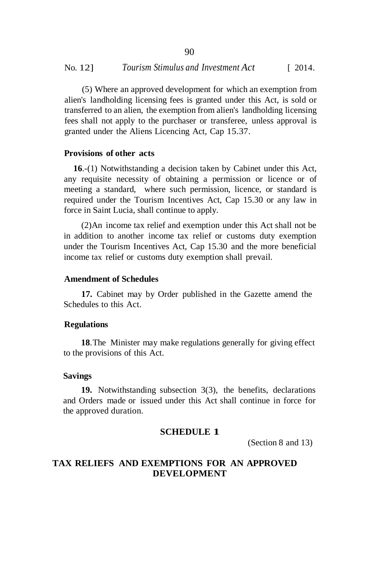(5) Where an approved development for which an exemption from alien's landholding licensing fees is granted under this Act, is sold or transferred to an alien, the exemption from alien's landholding licensing fees shall not apply to the purchaser or transferee, unless approval is granted under the Aliens Licencing Act, Cap 15.37.

## **Provisions of other acts**

**16**.-(1) Notwithstanding a decision taken by Cabinet under this Act, any requisite necessity of obtaining a permission or licence or of meeting a standard, where such permission, licence, or standard is required under the Tourism Incentives Act, Cap 15.30 or any law in force in Saint Lucia, shall continue to apply.

(2)An income tax relief and exemption under this Act shall not be in addition to another income tax relief or customs duty exemption under the Tourism Incentives Act, Cap 15.30 and the more beneficial income tax relief or customs duty exemption shall prevail.

#### **Amendment of Schedules**

**17.** Cabinet may by Order published in the Gazette amend the Schedules to this Act.

#### **Regulations**

**18**.The Minister may make regulations generally for giving effect to the provisions of this Act.

#### **Savings**

**19.** Notwithstanding subsection 3(3), the benefits, declarations and Orders made or issued under this Act shall continue in force for the approved duration.

## **SCHEDULE 1**

(Section 8 and 13)

## **TAX RELIEFS AND EXEMPTIONS FOR AN APPROVED DEVELOPMENT**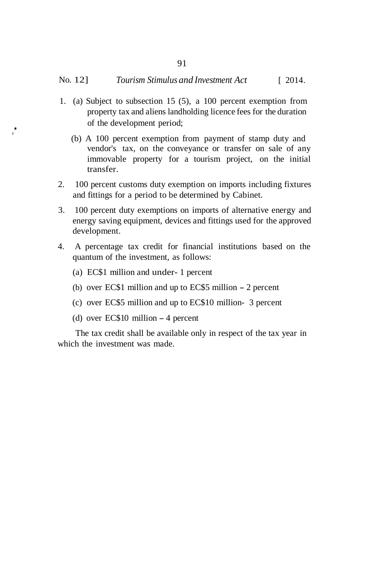- 1. (a) Subject to subsection 15 (5), a 100 percent exemption from property tax and aliens landholding licence fees for the duration . of the development period;
	- (b) A 100 percent exemption from payment of stamp duty and vendor's tax, on the conveyance or transfer on sale of any immovable property for a tourism project, on the initial transfer.
	- 2. 100 percent customs duty exemption on imports including fixtures and fittings for a period to be determined by Cabinet.
	- 3. 100 percent duty exemptions on imports of alternative energy and energy saving equipment, devices and fittings used for the approved development.
	- 4. A percentage tax credit for financial institutions based on the quantum of the investment, as follows:
		- (a) EC\$1 million and under- 1 percent
		- (b) over EC\$1 million and up to EC\$5 million 2 percent
		- (c) over EC\$5 million and up to EC\$10 million- 3 percent
		- (d) over EC\$10 million 4 percent

The tax credit shall be available only in respect of the tax year in which the investment was made.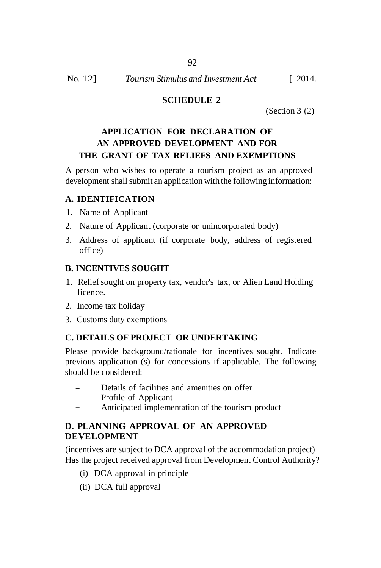92

## **SCHEDULE 2**

(Section 3 (2)

## **APPLICATION FOR DECLARATION OF AN APPROVED DEVELOPMENT AND FOR THE GRANT OF TAX RELIEFS AND EXEMPTIONS**

A person who wishes to operate a tourism project as an approved development shall submit an application with the following information:

## **A. IDENTIFICATION**

- 1. Name of Applicant
- 2. Nature of Applicant (corporate or unincorporated body)
- 3. Address of applicant (if corporate body, address of registered office)

## **B. INCENTIVES SOUGHT**

- 1. Relief sought on property tax, vendor's tax, or Alien Land Holding licence.
- 2. Income tax holiday
- 3. Customs duty exemptions

## **C. DETAILS OF PROJECT OR UNDERTAKING**

Please provide background/rationale for incentives sought. Indicate previous application (s) for concessions if applicable. The following should be considered:

- Details of facilities and amenities on offer
- Profile of Applicant
- Anticipated implementation of the tourism product

## **D. PLANNING APPROVAL OF AN APPROVED DEVELOPMENT**

(incentives are subject to DCA approval of the accommodation project) Has the project received approval from Development Control Authority?

- (i) DCA approval in principle
- (ii) DCA full approval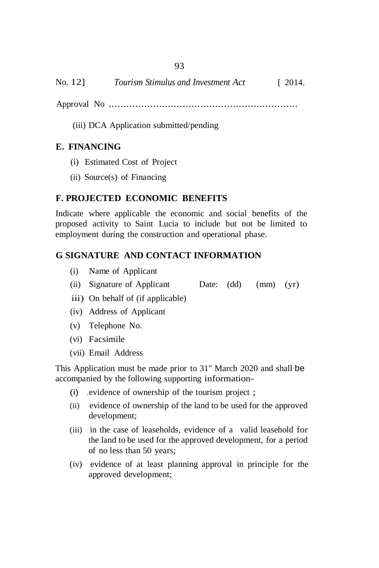- Approval No ................................................................
	- (iii) DCA Application submitted/pending

## **E. FINANCING**

- (i) Estimated Cost of Project
- (ii) Source(s) of Financing

## **F. PROJECTED ECONOMIC BENEFITS**

Indicate where applicable the economic and social benefits of the proposed activity to Saint Lucia to include but not be limited to employment during the construction and operational phase.

## **G SIGNATURE AND CONTACT INFORMATION**

- (i) Name of Applicant
- (ii) Signature of Applicant Date: (dd) (mm) (yr)
- iii) On behalf of (if applicable)
- (iv) Address of Applicant
- (v) Telephone No.
- (vi) Facsimile
- (vii) Email Address

This Application must be made prior to 31" March 2020 and shall be accompanied by the following supporting information-

- (i) .evidence of ownership of the tourism project ;
- (ii) evidence of ownership of the land to be used for the approved development;
- (iii) in the case of leaseholds, evidence of a valid leasehold for the land to be used for the approved development, for a period of no less than 50 years;
- (iv) evidence of at least planning approval in principle for the approved development;